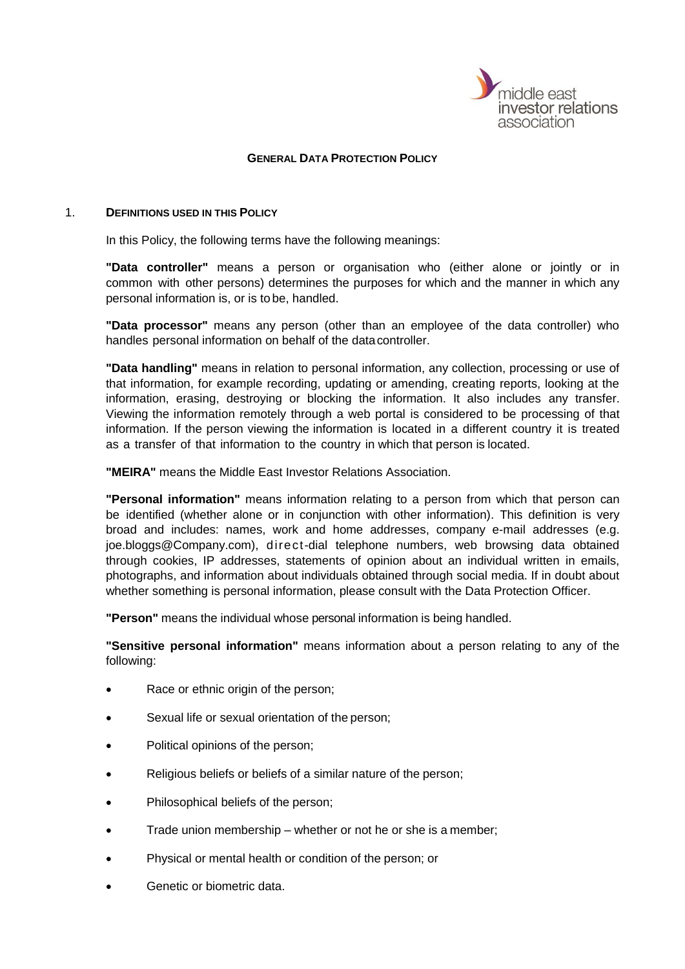

#### **GENERAL DATA PROTECTION POLICY**

#### 1. **DEFINITIONS USED IN THIS POLICY**

In this Policy, the following terms have the following meanings:

**"Data controller"** means a person or organisation who (either alone or jointly or in common with other persons) determines the purposes for which and the manner in which any personal information is, or is to be, handled.

**"Data processor"** means any person (other than an employee of the data controller) who handles personal information on behalf of the datacontroller.

**"Data handling"** means in relation to personal information, any collection, processing or use of that information, for example recording, updating or amending, creating reports, looking at the information, erasing, destroying or blocking the information. It also includes any transfer. Viewing the information remotely through a web portal is considered to be processing of that information. If the person viewing the information is located in a different country it is treated as a transfer of that information to the country in which that person is located.

**"MEIRA"** means the Middle East Investor Relations Association.

**"Personal information"** means information relating to a person from which that person can be identified (whether alone or in conjunction with other information). This definition is very broad and includes: names, work and home addresses, company e-mail addresses (e.g. [joe.bloggs@Company.com\)](mailto:joe.bloggs@sthree.com), direct-dial telephone numbers, web browsing data obtained through cookies, IP addresses, statements of opinion about an individual written in emails, photographs, and information about individuals obtained through social media. If in doubt about whether something is personal information, please consult with the Data Protection Officer.

**"Person"** means the individual whose personal information is being handled.

**"Sensitive personal information"** means information about a person relating to any of the following:

- Race or ethnic origin of the person;
- Sexual life or sexual orientation of the person:
- Political opinions of the person;
- Religious beliefs or beliefs of a similar nature of the person;
- Philosophical beliefs of the person;
- Trade union membership whether or not he or she is a member;
- Physical or mental health or condition of the person; or
- Genetic or biometric data.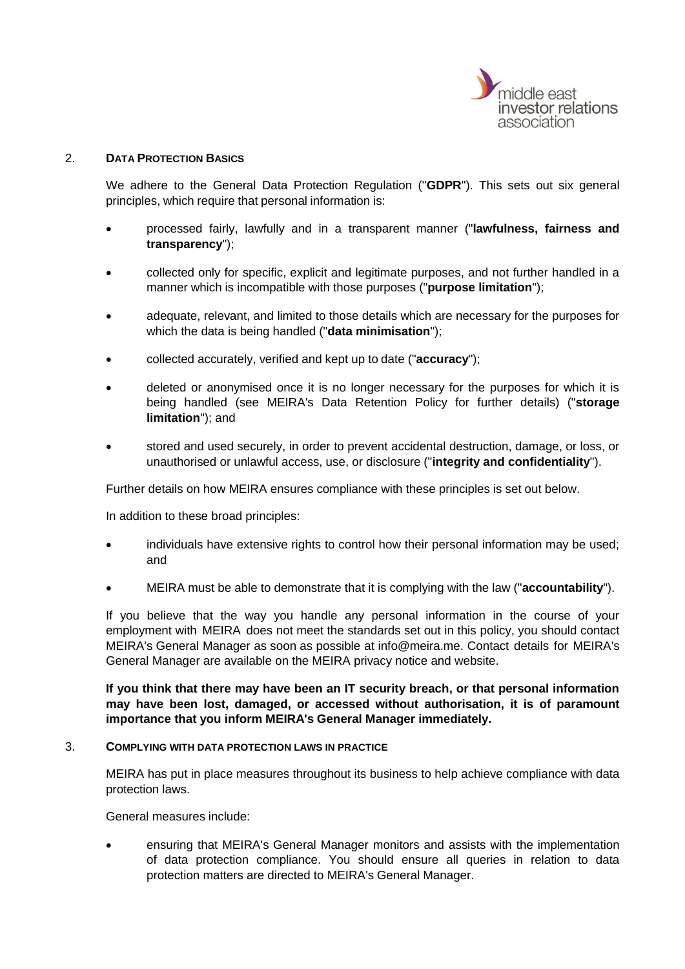

# 2. **DATA PROTECTION BASICS**

We adhere to the General Data Protection Regulation ("**GDPR**"). This sets out six general principles, which require that personal information is:

- processed fairly, lawfully and in a transparent manner ("**lawfulness, fairness and transparency**");
- collected only for specific, explicit and legitimate purposes, and not further handled in a manner which is incompatible with those purposes ("**purpose limitation**");
- adequate, relevant, and limited to those details which are necessary for the purposes for which the data is being handled ("**data minimisation**");
- collected accurately, verified and kept up to date ("**accuracy**");
- deleted or anonymised once it is no longer necessary for the purposes for which it is being handled (see MEIRA's Data Retention Policy for further details) ("**storage limitation**"); and
- stored and used securely, in order to prevent accidental destruction, damage, or loss, or unauthorised or unlawful access, use, or disclosure ("**integrity and confidentiality**").

Further details on how MEIRA ensures compliance with these principles is set out below.

In addition to these broad principles:

- individuals have extensive rights to control how their personal information may be used; and
- MEIRA must be able to demonstrate that it is complying with the law ("**accountability**").

If you believe that the way you handle any personal information in the course of your employment with MEIRA does not meet the standards set out in this policy, you should contact MEIRA's General Manager as soon as possible at info@meira.me. Contact details for MEIRA's General Manager are available on the MEIRA privacy notice and website.

**If you think that there may have been an IT security breach, or that personal information may have been lost, damaged, or accessed without authorisation, it is of paramount importance that you inform MEIRA's General Manager immediately.**

#### 3. **COMPLYING WITH DATA PROTECTION LAWS IN PRACTICE**

MEIRA has put in place measures throughout its business to help achieve compliance with data protection laws.

General measures include:

• ensuring that MEIRA's General Manager monitors and assists with the implementation of data protection compliance. You should ensure all queries in relation to data protection matters are directed to MEIRA's General Manager.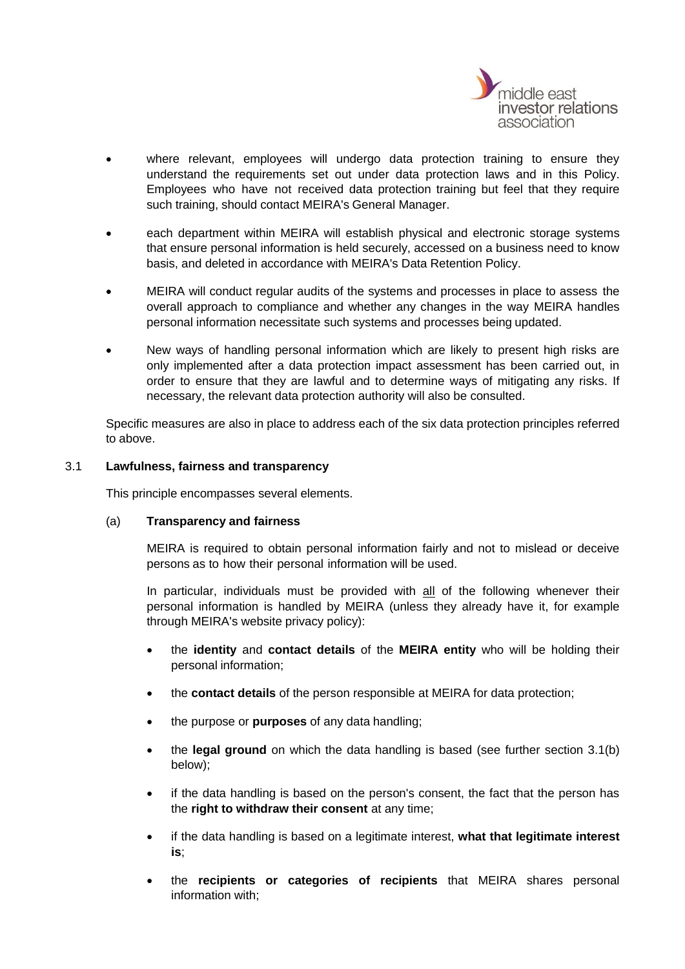

- where relevant, employees will undergo data protection training to ensure they understand the requirements set out under data protection laws and in this Policy. Employees who have not received data protection training but feel that they require such training, should contact MEIRA's General Manager.
- each department within MEIRA will establish physical and electronic storage systems that ensure personal information is held securely, accessed on a business need to know basis, and deleted in accordance with MEIRA's Data Retention Policy.
- MEIRA will conduct regular audits of the systems and processes in place to assess the overall approach to compliance and whether any changes in the way MEIRA handles personal information necessitate such systems and processes being updated.
- New ways of handling personal information which are likely to present high risks are only implemented after a data protection impact assessment has been carried out, in order to ensure that they are lawful and to determine ways of mitigating any risks. If necessary, the relevant data protection authority will also be consulted.

Specific measures are also in place to address each of the six data protection principles referred to above.

# 3.1 **Lawfulness, fairness and transparency**

This principle encompasses several elements.

# (a) **Transparency and fairness**

MEIRA is required to obtain personal information fairly and not to mislead or deceive persons as to how their personal information will be used.

In particular, individuals must be provided with all of the following whenever their personal information is handled by MEIRA (unless they already have it, for example through MEIRA's website privacy policy):

- the **identity** and **contact details** of the **MEIRA entity** who will be holding their personal information;
- the **contact details** of the person responsible at MEIRA for data protection;
- the purpose or **purposes** of any data handling;
- the **legal ground** on which the data handling is based (see further section [3.1\(b\)](#page-4-0) below);
- if the data handling is based on the person's consent, the fact that the person has the **right to withdraw their consent** at any time;
- if the data handling is based on a legitimate interest, **what that legitimate interest is**;
- the **recipients or categories of recipients** that MEIRA shares personal information with;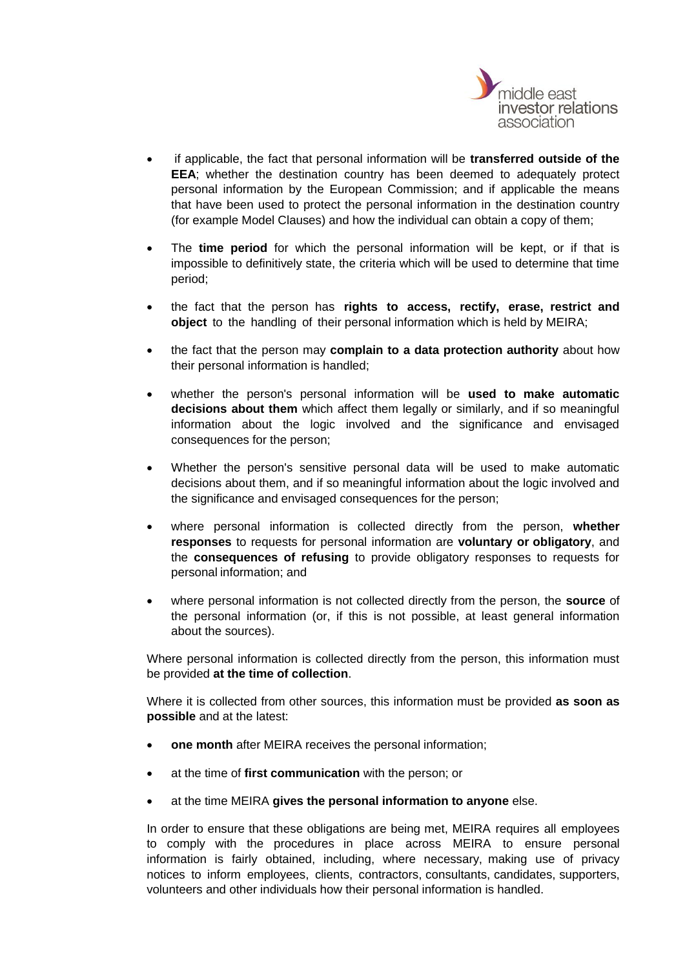

- if applicable, the fact that personal information will be **transferred outside of the EEA**; whether the destination country has been deemed to adequately protect personal information by the European Commission; and if applicable the means that have been used to protect the personal information in the destination country (for example Model Clauses) and how the individual can obtain a copy of them;
- The **time period** for which the personal information will be kept, or if that is impossible to definitively state, the criteria which will be used to determine that time period;
- the fact that the person has **rights to access, rectify, erase, restrict and object** to the handling of their personal information which is held by MEIRA;
- the fact that the person may **complain to a data protection authority** about how their personal information is handled;
- whether the person's personal information will be **used to make automatic decisions about them** which affect them legally or similarly, and if so meaningful information about the logic involved and the significance and envisaged consequences for the person;
- Whether the person's sensitive personal data will be used to make automatic decisions about them, and if so meaningful information about the logic involved and the significance and envisaged consequences for the person;
- where personal information is collected directly from the person, **whether responses** to requests for personal information are **voluntary or obligatory**, and the **consequences of refusing** to provide obligatory responses to requests for personal information; and
- where personal information is not collected directly from the person, the **source** of the personal information (or, if this is not possible, at least general information about the sources).

Where personal information is collected directly from the person, this information must be provided **at the time of collection**.

Where it is collected from other sources, this information must be provided **as soon as possible** and at the latest:

- **one month** after MEIRA receives the personal information;
- at the time of **first communication** with the person; or
- at the time MEIRA **gives the personal information to anyone** else.

In order to ensure that these obligations are being met, MEIRA requires all employees to comply with the procedures in place across MEIRA to ensure personal information is fairly obtained, including, where necessary, making use of privacy notices to inform employees, clients, contractors, consultants, candidates, supporters, volunteers and other individuals how their personal information is handled.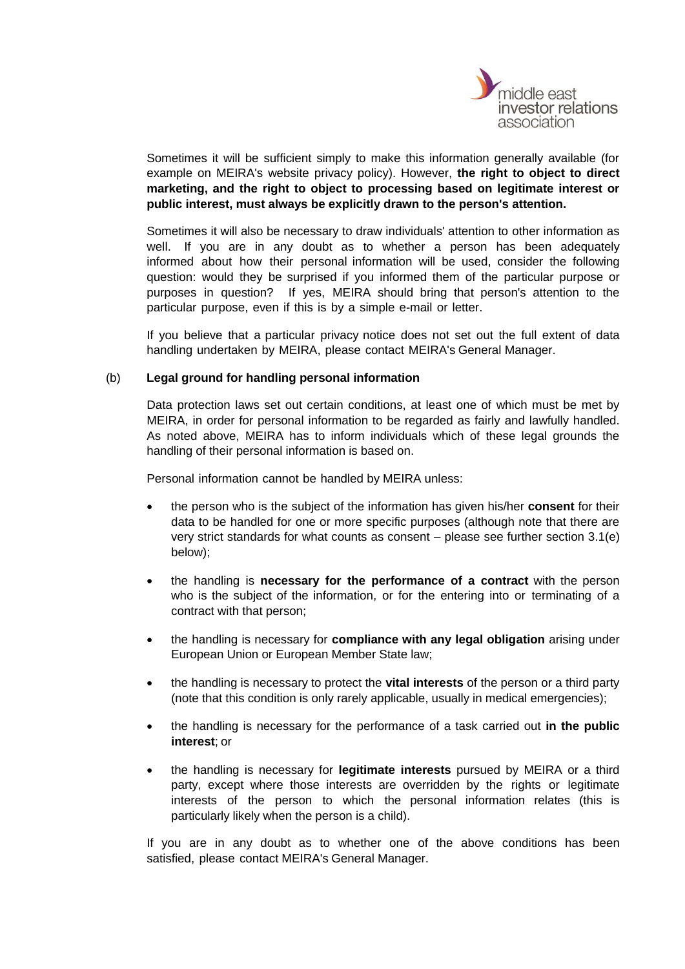

Sometimes it will be sufficient simply to make this information generally available (for example on MEIRA's website privacy policy). However, **the right to object to direct marketing, and the right to object to processing based on legitimate interest or public interest, must always be explicitly drawn to the person's attention.**

Sometimes it will also be necessary to draw individuals' attention to other information as well. If you are in any doubt as to whether a person has been adequately informed about how their personal information will be used, consider the following question: would they be surprised if you informed them of the particular purpose or purposes in question? If yes, MEIRA should bring that person's attention to the particular purpose, even if this is by a simple e-mail or letter.

If you believe that a particular privacy notice does not set out the full extent of data handling undertaken by MEIRA, please contact MEIRA's General Manager.

# <span id="page-4-0"></span>(b) **Legal ground for handling personal information**

Data protection laws set out certain conditions, at least one of which must be met by MEIRA, in order for personal information to be regarded as fairly and lawfully handled. As noted above, MEIRA has to inform individuals which of these legal grounds the handling of their personal information is based on.

Personal information cannot be handled by MEIRA unless:

- the person who is the subject of the information has given his/her **consent** for their data to be handled for one or more specific purposes (although note that there are very strict standards for what counts as consent – please see further section [3.1\(e\)](#page-5-0) below);
- the handling is **necessary for the performance of a contract** with the person who is the subject of the information, or for the entering into or terminating of a contract with that person;
- the handling is necessary for **compliance with any legal obligation** arising under European Union or European Member State law;
- the handling is necessary to protect the **vital interests** of the person or a third party (note that this condition is only rarely applicable, usually in medical emergencies);
- the handling is necessary for the performance of a task carried out **in the public interest**; or
- the handling is necessary for **legitimate interests** pursued by MEIRA or a third party, except where those interests are overridden by the rights or legitimate interests of the person to which the personal information relates (this is particularly likely when the person is a child).

If you are in any doubt as to whether one of the above conditions has been satisfied, please contact MEIRA's General Manager.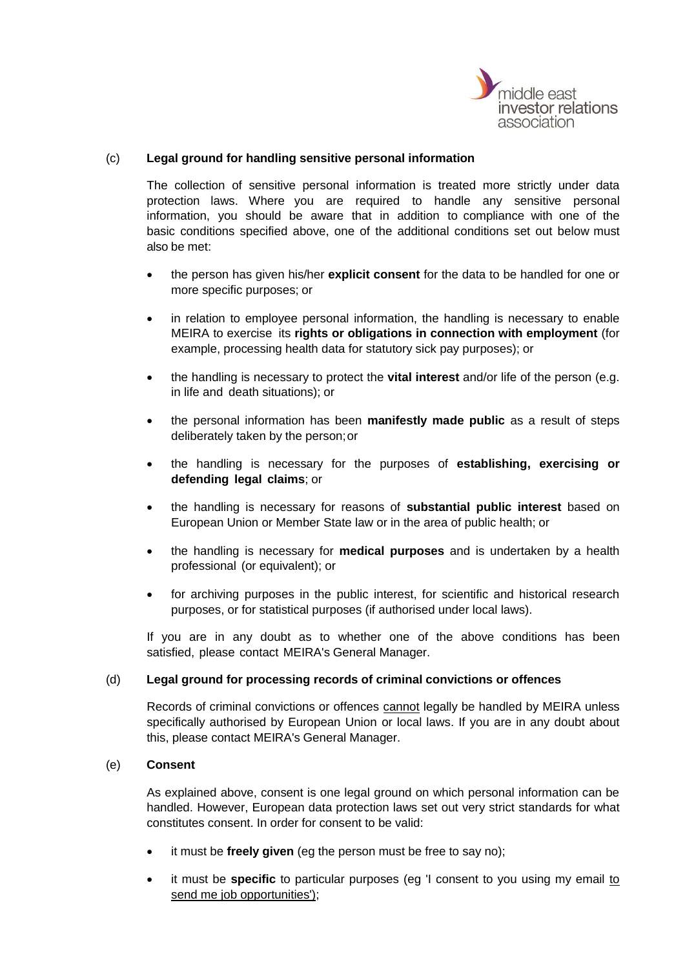

# (c) **Legal ground for handling sensitive personal information**

The collection of sensitive personal information is treated more strictly under data protection laws. Where you are required to handle any sensitive personal information, you should be aware that in addition to compliance with one of the basic conditions specified above, one of the additional conditions set out below must also be met:

- the person has given his/her **explicit consent** for the data to be handled for one or more specific purposes; or
- in relation to employee personal information, the handling is necessary to enable MEIRA to exercise its **rights or obligations in connection with employment** (for example, processing health data for statutory sick pay purposes); or
- the handling is necessary to protect the **vital interest** and/or life of the person (e.g. in life and death situations); or
- the personal information has been **manifestly made public** as a result of steps deliberately taken by the person;or
- the handling is necessary for the purposes of **establishing, exercising or defending legal claims**; or
- the handling is necessary for reasons of **substantial public interest** based on European Union or Member State law or in the area of public health; or
- the handling is necessary for **medical purposes** and is undertaken by a health professional (or equivalent); or
- for archiving purposes in the public interest, for scientific and historical research purposes, or for statistical purposes (if authorised under local laws).

If you are in any doubt as to whether one of the above conditions has been satisfied, please contact MEIRA's General Manager.

# (d) **Legal ground for processing records of criminal convictions or offences**

Records of criminal convictions or offences cannot legally be handled by MEIRA unless specifically authorised by European Union or local laws. If you are in any doubt about this, please contact MEIRA's General Manager.

# <span id="page-5-0"></span>(e) **Consent**

As explained above, consent is one legal ground on which personal information can be handled. However, European data protection laws set out very strict standards for what constitutes consent. In order for consent to be valid:

- it must be **freely given** (eg the person must be free to say no);
- it must be **specific** to particular purposes (eg 'I consent to you using my email to send me job opportunities');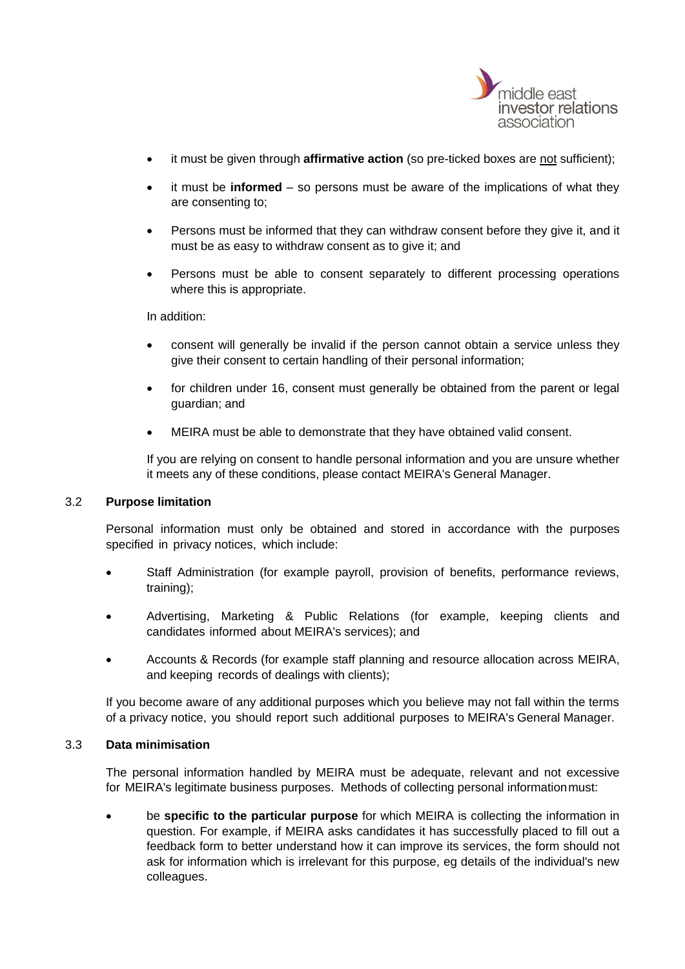

- it must be given through **affirmative action** (so pre-ticked boxes are not sufficient);
- it must be **informed**  so persons must be aware of the implications of what they are consenting to;
- Persons must be informed that they can withdraw consent before they give it, and it must be as easy to withdraw consent as to give it; and
- Persons must be able to consent separately to different processing operations where this is appropriate.

In addition:

- consent will generally be invalid if the person cannot obtain a service unless they give their consent to certain handling of their personal information;
- for children under 16, consent must generally be obtained from the parent or legal guardian; and
- MEIRA must be able to demonstrate that they have obtained valid consent.

If you are relying on consent to handle personal information and you are unsure whether it meets any of these conditions, please contact MEIRA's General Manager.

# 3.2 **Purpose limitation**

Personal information must only be obtained and stored in accordance with the purposes specified in privacy notices, which include:

- Staff Administration (for example payroll, provision of benefits, performance reviews, training);
- Advertising, Marketing & Public Relations (for example, keeping clients and candidates informed about MEIRA's services); and
- Accounts & Records (for example staff planning and resource allocation across MEIRA, and keeping records of dealings with clients);

If you become aware of any additional purposes which you believe may not fall within the terms of a privacy notice, you should report such additional purposes to MEIRA's General Manager.

# 3.3 **Data minimisation**

The personal information handled by MEIRA must be adequate, relevant and not excessive for MEIRA's legitimate business purposes. Methods of collecting personal informationmust:

• be **specific to the particular purpose** for which MEIRA is collecting the information in question. For example, if MEIRA asks candidates it has successfully placed to fill out a feedback form to better understand how it can improve its services, the form should not ask for information which is irrelevant for this purpose, eg details of the individual's new colleagues.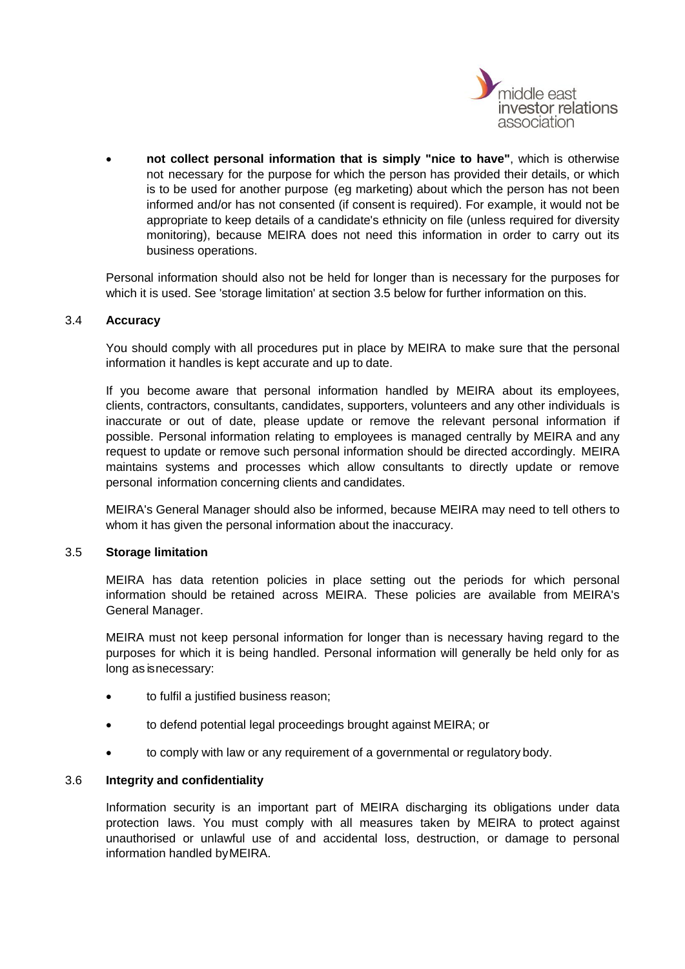

• **not collect personal information that is simply "nice to have"**, which is otherwise not necessary for the purpose for which the person has provided their details, or which is to be used for another purpose (eg marketing) about which the person has not been informed and/or has not consented (if consent is required). For example, it would not be appropriate to keep details of a candidate's ethnicity on file (unless required for diversity monitoring), because MEIRA does not need this information in order to carry out its business operations.

Personal information should also not be held for longer than is necessary for the purposes for which it is used. See 'storage limitation' at section [3.5](#page-7-0) below for further information on this.

# 3.4 **Accuracy**

You should comply with all procedures put in place by MEIRA to make sure that the personal information it handles is kept accurate and up to date.

If you become aware that personal information handled by MEIRA about its employees, clients, contractors, consultants, candidates, supporters, volunteers and any other individuals is inaccurate or out of date, please update or remove the relevant personal information if possible. Personal information relating to employees is managed centrally by MEIRA and any request to update or remove such personal information should be directed accordingly. MEIRA maintains systems and processes which allow consultants to directly update or remove personal information concerning clients and candidates.

MEIRA's General Manager should also be informed, because MEIRA may need to tell others to whom it has given the personal information about the inaccuracy.

# <span id="page-7-0"></span>3.5 **Storage limitation**

MEIRA has data retention policies in place setting out the periods for which personal information should be retained across MEIRA. These policies are available from MEIRA's General Manager.

MEIRA must not keep personal information for longer than is necessary having regard to the purposes for which it is being handled. Personal information will generally be held only for as long as is necessary:

- to fulfil a justified business reason;
- to defend potential legal proceedings brought against MEIRA; or
- to comply with law or any requirement of a governmental or regulatory body.

# 3.6 **Integrity and confidentiality**

Information security is an important part of MEIRA discharging its obligations under data protection laws. You must comply with all measures taken by MEIRA to protect against unauthorised or unlawful use of and accidental loss, destruction, or damage to personal information handled byMEIRA.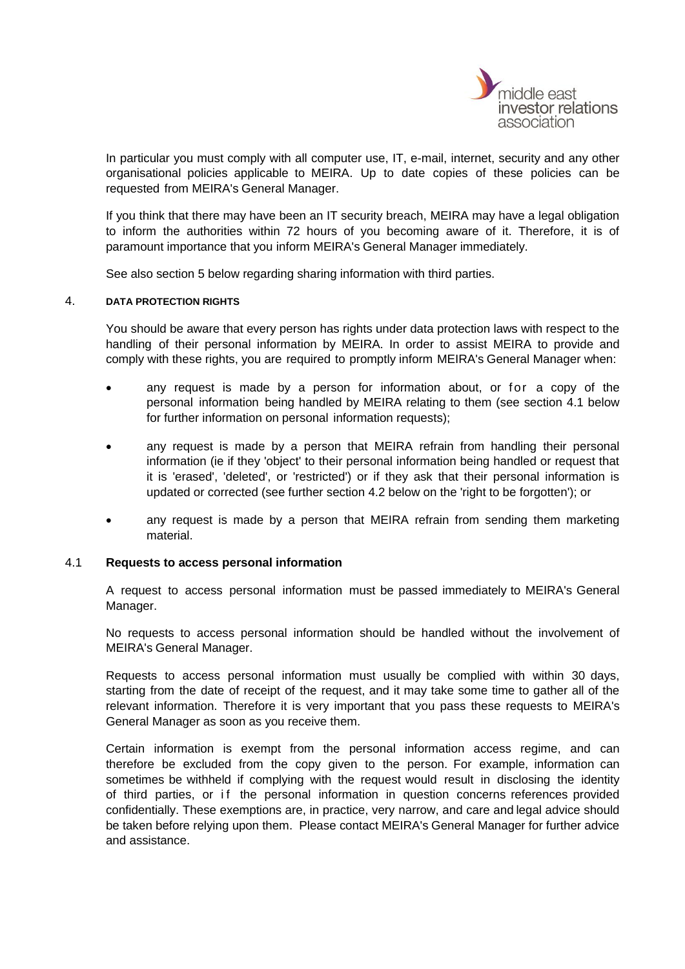

In particular you must comply with all computer use, IT, e-mail, internet, security and any other organisational policies applicable to MEIRA. Up to date copies of these policies can be requested from MEIRA's General Manager.

If you think that there may have been an IT security breach, MEIRA may have a legal obligation to inform the authorities within 72 hours of you becoming aware of it. Therefore, it is of paramount importance that you inform MEIRA's General Manager immediately.

See also section [5](#page-9-0) below regarding sharing information with third parties.

#### 4. **DATA PROTECTION RIGHTS**

You should be aware that every person has rights under data protection laws with respect to the handling of their personal information by MEIRA. In order to assist MEIRA to provide and comply with these rights, you are required to promptly inform MEIRA's General Manager when:

- any request is made by a person for information about, or for a copy of the personal information being handled by MEIRA relating to them (see section [4.1](#page-8-0) below for further information on personal information requests);
- any request is made by a person that MEIRA refrain from handling their personal information (ie if they 'object' to their personal information being handled or request that it is 'erased', 'deleted', or 'restricted') or if they ask that their personal information is updated or corrected (see further section [4.2](#page-9-1) below on the 'right to be forgotten'); or
- any request is made by a person that MEIRA refrain from sending them marketing material.

#### <span id="page-8-0"></span>4.1 **Requests to access personal information**

A request to access personal information must be passed immediately to MEIRA's General Manager.

No requests to access personal information should be handled without the involvement of MEIRA's General Manager.

Requests to access personal information must usually be complied with within 30 days, starting from the date of receipt of the request, and it may take some time to gather all of the relevant information. Therefore it is very important that you pass these requests to MEIRA's General Manager as soon as you receive them.

Certain information is exempt from the personal information access regime, and can therefore be excluded from the copy given to the person. For example, information can sometimes be withheld if complying with the request would result in disclosing the identity of third parties, or if the personal information in question concerns references provided confidentially. These exemptions are, in practice, very narrow, and care and legal advice should be taken before relying upon them. Please contact MEIRA's General Manager for further advice and assistance.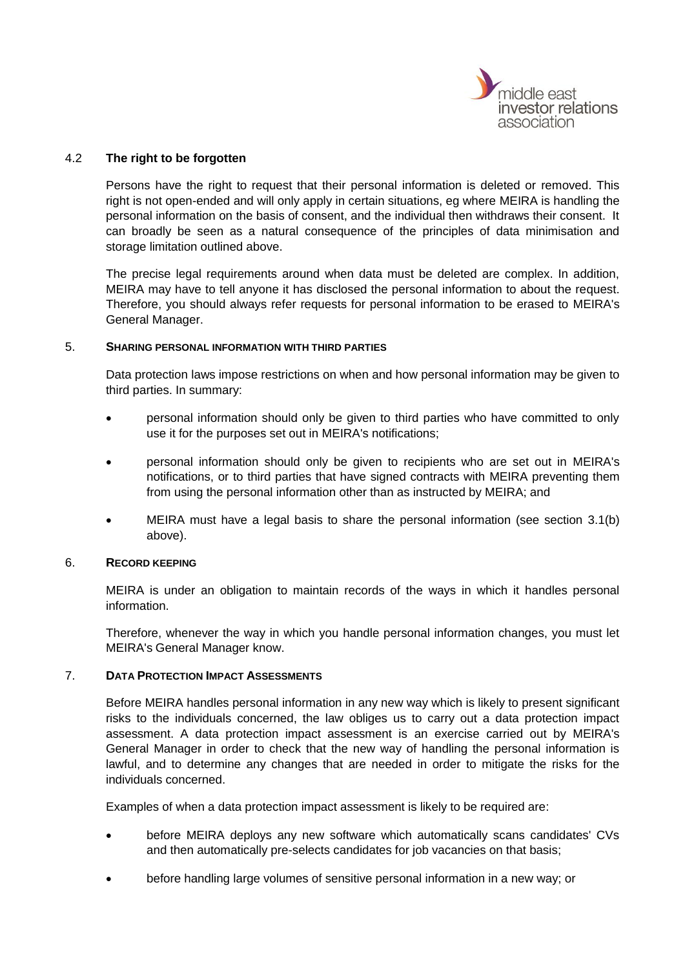

# <span id="page-9-1"></span>4.2 **The right to be forgotten**

Persons have the right to request that their personal information is deleted or removed. This right is not open-ended and will only apply in certain situations, eg where MEIRA is handling the personal information on the basis of consent, and the individual then withdraws their consent. It can broadly be seen as a natural consequence of the principles of data minimisation and storage limitation outlined above.

The precise legal requirements around when data must be deleted are complex. In addition, MEIRA may have to tell anyone it has disclosed the personal information to about the request. Therefore, you should always refer requests for personal information to be erased to MEIRA's General Manager.

#### <span id="page-9-0"></span>5. **SHARING PERSONAL INFORMATION WITH THIRD PARTIES**

Data protection laws impose restrictions on when and how personal information may be given to third parties. In summary:

- personal information should only be given to third parties who have committed to only use it for the purposes set out in MEIRA's notifications;
- personal information should only be given to recipients who are set out in MEIRA's notifications, or to third parties that have signed contracts with MEIRA preventing them from using the personal information other than as instructed by MEIRA; and
- MEIRA must have a legal basis to share the personal information (see section [3.1\(b\)](#page-4-0) above).

# 6. **RECORD KEEPING**

MEIRA is under an obligation to maintain records of the ways in which it handles personal information.

Therefore, whenever the way in which you handle personal information changes, you must let MEIRA's General Manager know.

# 7. **DATA PROTECTION IMPACT ASSESSMENTS**

Before MEIRA handles personal information in any new way which is likely to present significant risks to the individuals concerned, the law obliges us to carry out a data protection impact assessment. A data protection impact assessment is an exercise carried out by MEIRA's General Manager in order to check that the new way of handling the personal information is lawful, and to determine any changes that are needed in order to mitigate the risks for the individuals concerned.

Examples of when a data protection impact assessment is likely to be required are:

- before MEIRA deploys any new software which automatically scans candidates' CVs and then automatically pre-selects candidates for job vacancies on that basis;
- before handling large volumes of sensitive personal information in a new way; or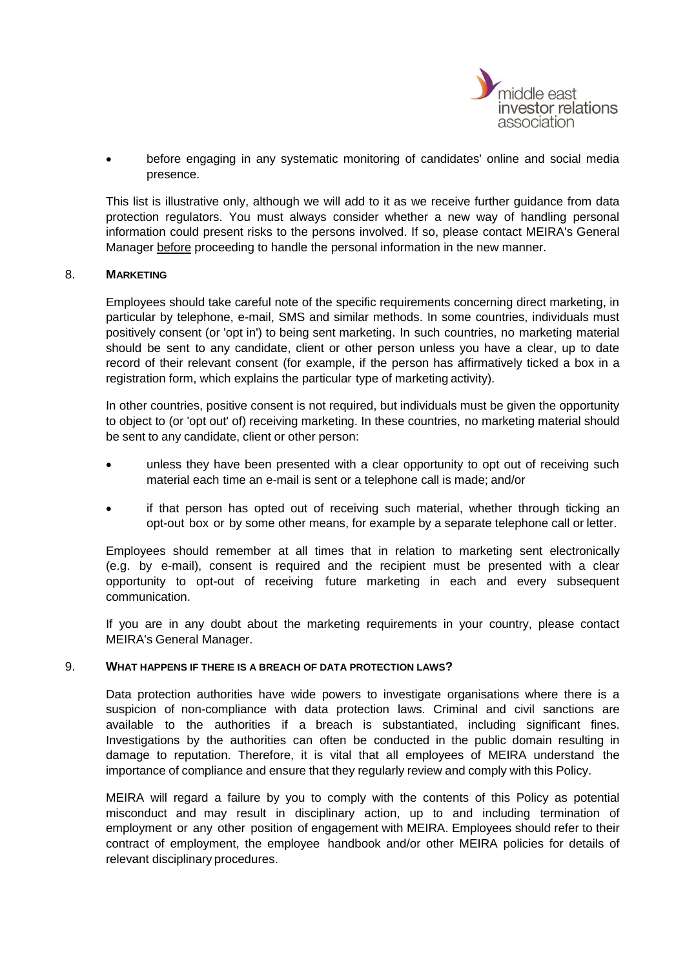

• before engaging in any systematic monitoring of candidates' online and social media presence.

This list is illustrative only, although we will add to it as we receive further guidance from data protection regulators. You must always consider whether a new way of handling personal information could present risks to the persons involved. If so, please contact MEIRA's General Manager before proceeding to handle the personal information in the new manner.

#### 8. **MARKETING**

Employees should take careful note of the specific requirements concerning direct marketing, in particular by telephone, e-mail, SMS and similar methods. In some countries, individuals must positively consent (or 'opt in') to being sent marketing. In such countries, no marketing material should be sent to any candidate, client or other person unless you have a clear, up to date record of their relevant consent (for example, if the person has affirmatively ticked a box in a registration form, which explains the particular type of marketing activity).

In other countries, positive consent is not required, but individuals must be given the opportunity to object to (or 'opt out' of) receiving marketing. In these countries, no marketing material should be sent to any candidate, client or other person:

- unless they have been presented with a clear opportunity to opt out of receiving such material each time an e-mail is sent or a telephone call is made; and/or
- if that person has opted out of receiving such material, whether through ticking an opt-out box or by some other means, for example by a separate telephone call or letter.

Employees should remember at all times that in relation to marketing sent electronically (e.g. by e-mail), consent is required and the recipient must be presented with a clear opportunity to opt-out of receiving future marketing in each and every subsequent communication.

If you are in any doubt about the marketing requirements in your country, please contact MEIRA's General Manager.

#### 9. **WHAT HAPPENS IF THERE IS A BREACH OF DATA PROTECTION LAWS?**

Data protection authorities have wide powers to investigate organisations where there is a suspicion of non-compliance with data protection laws. Criminal and civil sanctions are available to the authorities if a breach is substantiated, including significant fines. Investigations by the authorities can often be conducted in the public domain resulting in damage to reputation. Therefore, it is vital that all employees of MEIRA understand the importance of compliance and ensure that they regularly review and comply with this Policy.

MEIRA will regard a failure by you to comply with the contents of this Policy as potential misconduct and may result in disciplinary action, up to and including termination of employment or any other position of engagement with MEIRA. Employees should refer to their contract of employment, the employee handbook and/or other MEIRA policies for details of relevant disciplinary procedures.